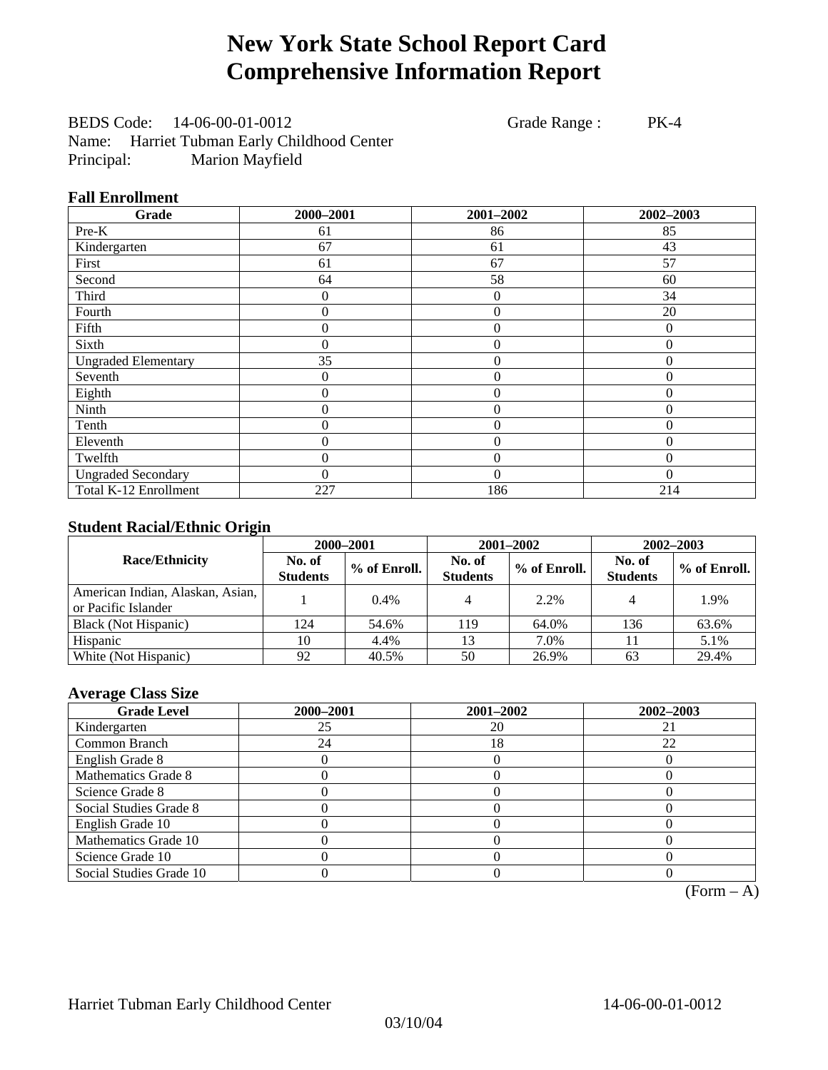# **New York State School Report Card Comprehensive Information Report**

BEDS Code: 14-06-00-01-0012 Grade Range : PK-4 Name: Harriet Tubman Early Childhood Center Principal: Marion Mayfield

#### **Fall Enrollment**

| Grade                      | 2000-2001      | 2001-2002        | 2002-2003        |
|----------------------------|----------------|------------------|------------------|
| $Pre-K$                    | 61             | 86               | 85               |
| Kindergarten               | 67             | 61               | 43               |
| First                      | 61             | 67               | 57               |
| Second                     | 64             | 58               | 60               |
| Third                      | 0              | $\theta$         | 34               |
| Fourth                     | $\theta$       | $\theta$         | 20               |
| Fifth                      | 0              | $\overline{0}$   | $\mathbf{0}$     |
| Sixth                      | 0              | $\boldsymbol{0}$ | $\boldsymbol{0}$ |
| <b>Ungraded Elementary</b> | 35             | $\theta$         | $\overline{0}$   |
| Seventh                    | 0              | $\theta$         | $\Omega$         |
| Eighth                     | $\overline{0}$ | $\theta$         | $\mathbf{0}$     |
| Ninth                      | 0              | $\overline{0}$   | $\mathbf{0}$     |
| Tenth                      | 0              | $\overline{0}$   | 0                |
| Eleventh                   | 0              | $\overline{0}$   | $\Omega$         |
| Twelfth                    | 0              | $\overline{0}$   | $\theta$         |
| <b>Ungraded Secondary</b>  | 0              | $\theta$         | $\Omega$         |
| Total K-12 Enrollment      | 227            | 186              | 214              |

#### **Student Racial/Ethnic Origin**

|                                                         | 2000-2001                 |              |                           | 2001-2002    | $2002 - 2003$             |                |
|---------------------------------------------------------|---------------------------|--------------|---------------------------|--------------|---------------------------|----------------|
| <b>Race/Ethnicity</b>                                   | No. of<br><b>Students</b> | % of Enroll. | No. of<br><b>Students</b> | % of Enroll. | No. of<br><b>Students</b> | $%$ of Enroll. |
| American Indian, Alaskan, Asian,<br>or Pacific Islander |                           | $0.4\%$      |                           | 2.2%         |                           | 1.9%           |
| Black (Not Hispanic)                                    | 124                       | 54.6%        | 119                       | 64.0%        | 136                       | 63.6%          |
| Hispanic                                                | 10                        | 4.4%         | 13                        | 7.0%         |                           | 5.1%           |
| White (Not Hispanic)                                    | 92                        | 40.5%        | 50                        | 26.9%        | 63                        | 29.4%          |

#### **Average Class Size**

| <b>Grade Level</b>      | 2000-2001 | 2001-2002 | 2002-2003 |
|-------------------------|-----------|-----------|-----------|
| Kindergarten            | 25        | 20        |           |
| Common Branch           | 24        | 18        | 22        |
| English Grade 8         |           |           |           |
| Mathematics Grade 8     |           |           |           |
| Science Grade 8         |           |           |           |
| Social Studies Grade 8  |           |           |           |
| English Grade 10        |           |           |           |
| Mathematics Grade 10    |           |           |           |
| Science Grade 10        |           |           |           |
| Social Studies Grade 10 |           |           |           |

 $(Form - A)$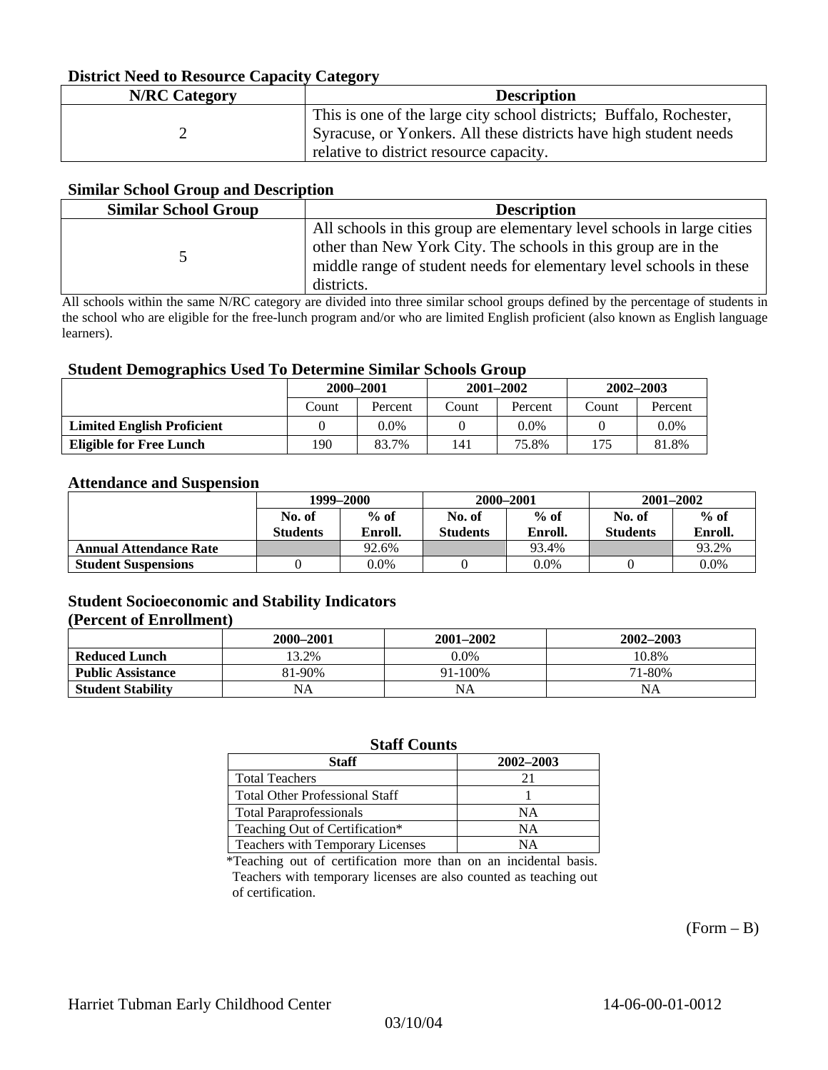#### **District Need to Resource Capacity Category**

| <b>N/RC</b> Category | <b>Description</b>                                                                                                                                                                  |
|----------------------|-------------------------------------------------------------------------------------------------------------------------------------------------------------------------------------|
|                      | This is one of the large city school districts; Buffalo, Rochester,<br>Syracuse, or Yonkers. All these districts have high student needs<br>relative to district resource capacity. |

#### **Similar School Group and Description**

| <b>Similar School Group</b> | <b>Description</b>                                                                                                                                                                                                            |
|-----------------------------|-------------------------------------------------------------------------------------------------------------------------------------------------------------------------------------------------------------------------------|
|                             | All schools in this group are elementary level schools in large cities<br>other than New York City. The schools in this group are in the<br>middle range of student needs for elementary level schools in these<br>districts. |

All schools within the same N/RC category are divided into three similar school groups defined by the percentage of students in the school who are eligible for the free-lunch program and/or who are limited English proficient (also known as English language learners).

#### **Student Demographics Used To Determine Similar Schools Group**

|                                   | 2000-2001 |         | $2001 - 2002$ |         | 2002-2003 |         |
|-----------------------------------|-----------|---------|---------------|---------|-----------|---------|
|                                   | Count     | Percent | Count         | Percent | Count     | Percent |
| <b>Limited English Proficient</b> |           | 0.0%    |               | 0.0%    |           | $0.0\%$ |
| <b>Eligible for Free Lunch</b>    | 190       | 83.7%   | 141           | 75.8%   | 175       | 81.8%   |

#### **Attendance and Suspension**

|                               | 1999-2000                 |                   | 2000-2001                 |                   | $2001 - 2002$             |                   |
|-------------------------------|---------------------------|-------------------|---------------------------|-------------------|---------------------------|-------------------|
|                               | No. of<br><b>Students</b> | $%$ of<br>Enroll. | No. of<br><b>Students</b> | $%$ of<br>Enroll. | No. of<br><b>Students</b> | $%$ of<br>Enroll. |
| <b>Annual Attendance Rate</b> |                           | 92.6%             |                           | 93.4%             |                           | 93.2%             |
| <b>Student Suspensions</b>    |                           | 0.0%              |                           | 0.0%              |                           | 0.0%              |

### **Student Socioeconomic and Stability Indicators**

#### **(Percent of Enrollment)**

|                          | 2000–2001 | $2001 - 2002$ | 2002–2003 |
|--------------------------|-----------|---------------|-----------|
| <b>Reduced Lunch</b>     | 13.2%     | $0.0\%$       | 10.8%     |
| <b>Public Assistance</b> | 81-90%    | 91-100%       | 71-80%    |
| <b>Student Stability</b> | NA        | NA            | NΑ        |

### **Staff Counts**

| Staff                                 | 2002-2003 |
|---------------------------------------|-----------|
| <b>Total Teachers</b>                 | 21        |
| <b>Total Other Professional Staff</b> |           |
| <b>Total Paraprofessionals</b>        | NΑ        |
| Teaching Out of Certification*        | NΑ        |
| Teachers with Temporary Licenses      | NА        |

\*Teaching out of certification more than on an incidental basis. Teachers with temporary licenses are also counted as teaching out of certification.

 $(Form - B)$